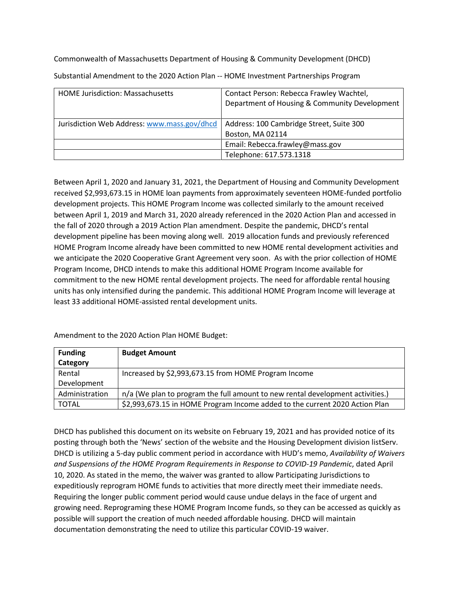Commonwealth of Massachusetts Department of Housing & Community Development (DHCD)

| <b>HOME Jurisdiction: Massachusetts</b>     | Contact Person: Rebecca Frawley Wachtel,<br>Department of Housing & Community Development |
|---------------------------------------------|-------------------------------------------------------------------------------------------|
| Jurisdiction Web Address: www.mass.gov/dhcd | Address: 100 Cambridge Street, Suite 300                                                  |
|                                             | Boston, MA 02114                                                                          |
|                                             | Email: Rebecca.frawley@mass.gov                                                           |
|                                             | Telephone: 617.573.1318                                                                   |

Substantial Amendment to the 2020 Action Plan -- HOME Investment Partnerships Program

Between April 1, 2020 and January 31, 2021, the Department of Housing and Community Development received \$2,993,673.15 in HOME loan payments from approximately seventeen HOME-funded portfolio development projects. This HOME Program Income was collected similarly to the amount received between April 1, 2019 and March 31, 2020 already referenced in the 2020 Action Plan and accessed in the fall of 2020 through a 2019 Action Plan amendment. Despite the pandemic, DHCD's rental development pipeline has been moving along well. 2019 allocation funds and previously referenced HOME Program Income already have been committed to new HOME rental development activities and we anticipate the 2020 Cooperative Grant Agreement very soon. As with the prior collection of HOME Program Income, DHCD intends to make this additional HOME Program Income available for commitment to the new HOME rental development projects. The need for affordable rental housing units has only intensified during the pandemic. This additional HOME Program Income will leverage at least 33 additional HOME-assisted rental development units.

Amendment to the 2020 Action Plan HOME Budget:

| <b>Funding</b> | <b>Budget Amount</b>                                                           |
|----------------|--------------------------------------------------------------------------------|
| Category       |                                                                                |
| Rental         | Increased by \$2,993,673.15 from HOME Program Income                           |
| Development    |                                                                                |
| Administration | n/a (We plan to program the full amount to new rental development activities.) |
| <b>TOTAL</b>   | \$2,993,673.15 in HOME Program Income added to the current 2020 Action Plan    |

DHCD has published this document on its website on February 19, 2021 and has provided notice of its posting through both the 'News' section of the website and the Housing Development division listServ. DHCD is utilizing a 5-day public comment period in accordance with HUD's memo, *Availability of Waivers and Suspensions of the HOME Program Requirements in Response to COVID-19 Pandemic*, dated April 10, 2020. As stated in the memo, the waiver was granted to allow Participating Jurisdictions to expeditiously reprogram HOME funds to activities that more directly meet their immediate needs. Requiring the longer public comment period would cause undue delays in the face of urgent and growing need. Reprograming these HOME Program Income funds, so they can be accessed as quickly as possible will support the creation of much needed affordable housing. DHCD will maintain documentation demonstrating the need to utilize this particular COVID-19 waiver.